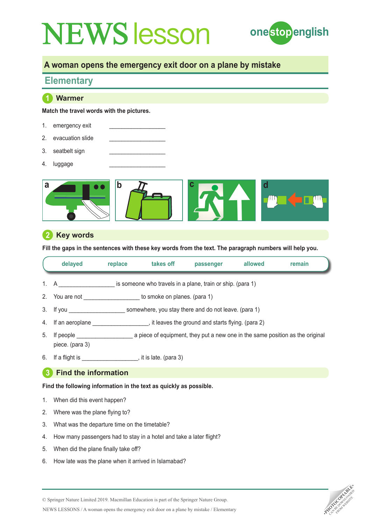

## **A woman opens the emergency exit door on a plane by mistake**

# **Elementary**

## **1 Warmer**

**Match the travel words with the pictures.**

- 1. emergency exit
- 2. evacuation slide
- 3. seatbelt sign
- 4. luggage



### **2 Key words**

**Fill the gaps in the sentences with these key words from the text. The paragraph numbers will help you.**

|    | delayed                                                                                                                                                                                                                        | replace | takes off | passenger                                                  | allowed | remain |
|----|--------------------------------------------------------------------------------------------------------------------------------------------------------------------------------------------------------------------------------|---------|-----------|------------------------------------------------------------|---------|--------|
|    | 1. $A$                                                                                                                                                                                                                         |         |           | is someone who travels in a plane, train or ship. (para 1) |         |        |
|    | 2. You are not to smoke on planes. (para 1)                                                                                                                                                                                    |         |           |                                                            |         |        |
|    | 3. If you                                                                                                                                                                                                                      |         |           | somewhere, you stay there and do not leave. (para 1)       |         |        |
|    | 4. If an aeroplane                                                                                                                                                                                                             |         |           | $\mu$ , it leaves the ground and starts flying. (para 2)   |         |        |
| 5. | If people a piece of equipment, they put a new one in the same position as the original<br>piece. (para 3)                                                                                                                     |         |           |                                                            |         |        |
| 6. | If a flight is the set of the set of the set of the set of the set of the set of the set of the set of the set of the set of the set of the set of the set of the set of the set of the set of the set of the set of the set o |         |           |                                                            |         |        |
| -3 | <b>Find the information</b>                                                                                                                                                                                                    |         |           |                                                            |         |        |

**Find the following information in the text as quickly as possible.** 

- 1. When did this event happen?
- 2. Where was the plane flying to?
- 3. What was the departure time on the timetable?
- 4. How many passengers had to stay in a hotel and take a later flight?
- 5. When did the plane finally take off?
- 6. How late was the plane when it arrived in Islamabad?



NEWS LESSONS / A woman opens the emergency exit door on a plane by mistake / Elementary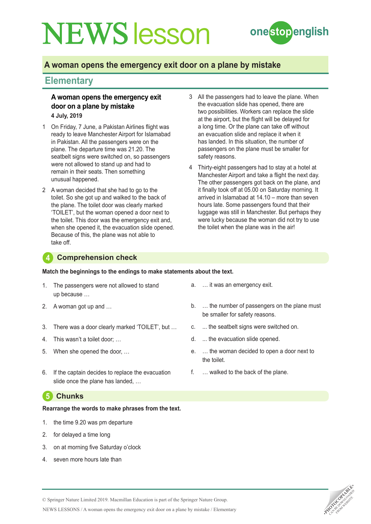

## **A woman opens the emergency exit door on a plane by mistake**

## **Elementary**

#### **A woman opens the emergency exit door on a plane by mistake 4 July, 2019**

- 1 On Friday, 7 June, a Pakistan Airlines flight was ready to leave Manchester Airport for Islamabad in Pakistan. All the passengers were on the plane. The departure time was 21.20. The seatbelt signs were switched on, so passengers were not allowed to stand up and had to remain in their seats. Then something unusual happened.
- 2 A woman decided that she had to go to the toilet. So she got up and walked to the back of the plane. The toilet door was clearly marked 'TOILET', but the woman opened a door next to the toilet. This door was the emergency exit and, when she opened it, the evacuation slide opened. Because of this, the plane was not able to take off.
- 3 All the passengers had to leave the plane. When the evacuation slide has opened, there are two possibilities. Workers can replace the slide at the airport, but the flight will be delayed for a long time. Or the plane can take off without an evacuation slide and replace it when it has landed. In this situation, the number of passengers on the plane must be smaller for safety reasons.
- 4 Thirty-eight passengers had to stay at a hotel at Manchester Airport and take a flight the next day. The other passengers got back on the plane, and it finally took off at 05.00 on Saturday morning. It arrived in Islamabad at 14.10 – more than seven hours late. Some passengers found that their luggage was still in Manchester. But perhaps they were lucky because the woman did not try to use the toilet when the plane was in the air!

#### **4 Comprehension check**

**Match the beginnings to the endings to make statements about the text.**

- 1. The passengers were not allowed to stand up because …
- 2. A woman got up and …
- 3. There was a door clearly marked 'TOILET', but …
- 4. This wasn't a toilet door; …
- 5. When she opened the door, …
- 6. If the captain decides to replace the evacuation slide once the plane has landed, …

### **5 Chunks**

#### **Rearrange the words to make phrases from the text.**

- 1. the time 9.20 was pm departure
- 2. for delayed a time long
- 3. on at morning five Saturday o'clock
- seven more hours late than
- a. … it was an emergency exit.
- b. … the number of passengers on the plane must be smaller for safety reasons.
- c. ... the seatbelt signs were switched on.
- d. ... the evacuation slide opened.
- e. … the woman decided to open a door next to the toilet.
- f. … walked to the back of the plane.



© Springer Nature Limited 2019. Macmillan Education is part of the Springer Nature Group.

NEWS LESSONS / A woman opens the emergency exit door on a plane by mistake / Elementary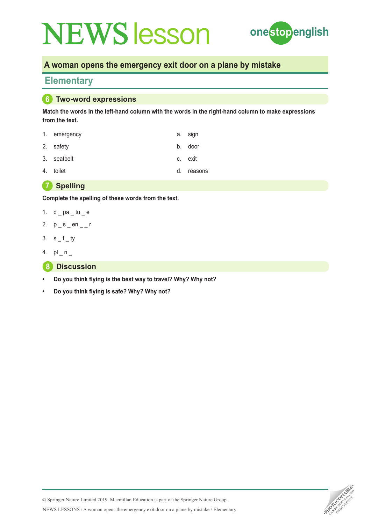

## **A woman opens the emergency exit door on a plane by mistake**

## **Elementary**

#### **6 Two-word expressions**

**Match the words in the left-hand column with the words in the right-hand column to make expressions from the text.**

| 1. emergency | a. sign |
|--------------|---------|
| 2. safety    | b. door |
| 3. seatbelt  | c. exit |
| 4. toilet    | reasons |



**Complete the spelling of these words from the text.**

- 1.  $d$   $p$ a  $t$ u  $e$
- 2.  $p_s$  en \_\_ r
- 3.  $s_f$
- 4.  $pl_n$
- **8 Discussion**
- **• Do you think flying is the best way to travel? Why? Why not?**
- **• Do you think flying is safe? Why? Why not?**